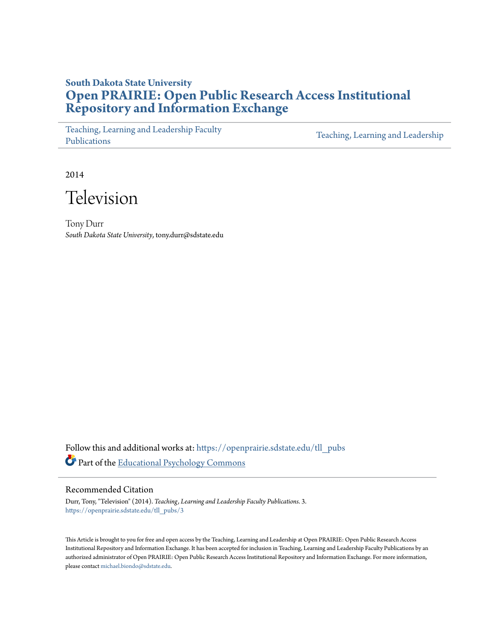# **South Dakota State University [Open PRAIRIE: Open Public Research Access Institutional](https://openprairie.sdstate.edu?utm_source=openprairie.sdstate.edu%2Ftll_pubs%2F3&utm_medium=PDF&utm_campaign=PDFCoverPages) [Repository and Information Exchange](https://openprairie.sdstate.edu?utm_source=openprairie.sdstate.edu%2Ftll_pubs%2F3&utm_medium=PDF&utm_campaign=PDFCoverPages)**

[Teaching, Learning and Leadership Faculty](https://openprairie.sdstate.edu/tll_pubs?utm_source=openprairie.sdstate.edu%2Ftll_pubs%2F3&utm_medium=PDF&utm_campaign=PDFCoverPages) [Publications](https://openprairie.sdstate.edu/tll_pubs?utm_source=openprairie.sdstate.edu%2Ftll_pubs%2F3&utm_medium=PDF&utm_campaign=PDFCoverPages)

[Teaching, Learning and Leadership](https://openprairie.sdstate.edu/tll?utm_source=openprairie.sdstate.edu%2Ftll_pubs%2F3&utm_medium=PDF&utm_campaign=PDFCoverPages)

2014



Tony Durr *South Dakota State University*, tony.durr@sdstate.edu

Follow this and additional works at: [https://openprairie.sdstate.edu/tll\\_pubs](https://openprairie.sdstate.edu/tll_pubs?utm_source=openprairie.sdstate.edu%2Ftll_pubs%2F3&utm_medium=PDF&utm_campaign=PDFCoverPages) Part of the [Educational Psychology Commons](http://network.bepress.com/hgg/discipline/798?utm_source=openprairie.sdstate.edu%2Ftll_pubs%2F3&utm_medium=PDF&utm_campaign=PDFCoverPages)

Recommended Citation

Durr, Tony, "Television" (2014). *Teaching, Learning and Leadership Faculty Publications*. 3. [https://openprairie.sdstate.edu/tll\\_pubs/3](https://openprairie.sdstate.edu/tll_pubs/3?utm_source=openprairie.sdstate.edu%2Ftll_pubs%2F3&utm_medium=PDF&utm_campaign=PDFCoverPages)

This Article is brought to you for free and open access by the Teaching, Learning and Leadership at Open PRAIRIE: Open Public Research Access Institutional Repository and Information Exchange. It has been accepted for inclusion in Teaching, Learning and Leadership Faculty Publications by an authorized administrator of Open PRAIRIE: Open Public Research Access Institutional Repository and Information Exchange. For more information, please contact [michael.biondo@sdstate.edu](mailto:michael.biondo@sdstate.edu).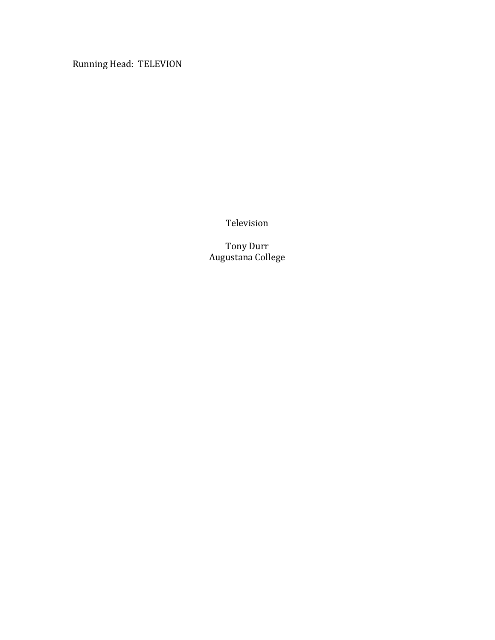Running Head: TELEVION

Television

Tony Durr Augustana College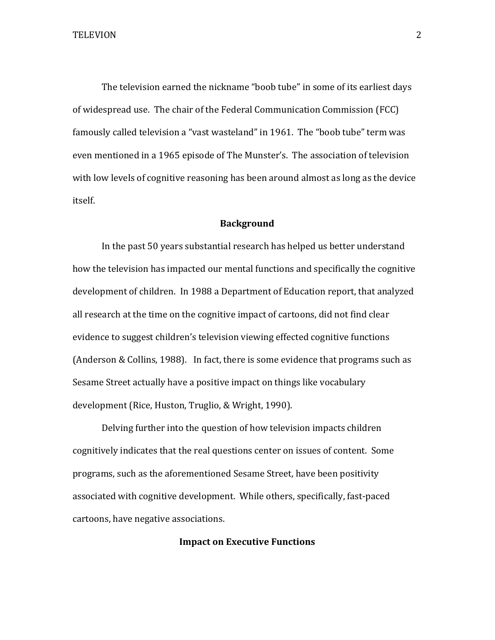The television earned the nickname "boob tube" in some of its earliest days of widespread use. The chair of the Federal Communication Commission (FCC) famously called television a "vast wasteland" in 1961. The "boob tube" term was even mentioned in a 1965 episode of The Munster's. The association of television with low levels of cognitive reasoning has been around almost as long as the device itself. 

#### **Background**

In the past 50 years substantial research has helped us better understand how the television has impacted our mental functions and specifically the cognitive development of children. In 1988 a Department of Education report, that analyzed all research at the time on the cognitive impact of cartoons, did not find clear evidence to suggest children's television viewing effected cognitive functions (Anderson & Collins, 1988). In fact, there is some evidence that programs such as Sesame Street actually have a positive impact on things like vocabulary development (Rice, Huston, Truglio, & Wright, 1990).

Delving further into the question of how television impacts children cognitively indicates that the real questions center on issues of content. Some programs, such as the aforementioned Sesame Street, have been positivity associated with cognitive development. While others, specifically, fast-paced cartoons, have negative associations.

### **Impact on Executive Functions**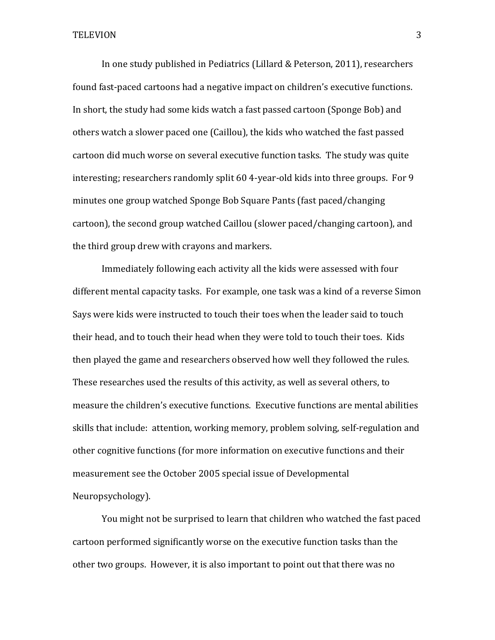In one study published in Pediatrics (Lillard & Peterson, 2011), researchers found fast-paced cartoons had a negative impact on children's executive functions. In short, the study had some kids watch a fast passed cartoon (Sponge Bob) and others watch a slower paced one (Caillou), the kids who watched the fast passed cartoon did much worse on several executive function tasks. The study was quite interesting; researchers randomly split 60 4-year-old kids into three groups. For 9 minutes one group watched Sponge Bob Square Pants (fast paced/changing  $cartoon$ ), the second group watched Caillou (slower paced/changing cartoon), and the third group drew with crayons and markers.

Immediately following each activity all the kids were assessed with four different mental capacity tasks. For example, one task was a kind of a reverse Simon Says were kids were instructed to touch their toes when the leader said to touch their head, and to touch their head when they were told to touch their toes. Kids then played the game and researchers observed how well they followed the rules. These researches used the results of this activity, as well as several others, to measure the children's executive functions. Executive functions are mental abilities skills that include: attention, working memory, problem solving, self-regulation and other cognitive functions (for more information on executive functions and their measurement see the October 2005 special issue of Developmental Neuropsychology). 

You might not be surprised to learn that children who watched the fast paced cartoon performed significantly worse on the executive function tasks than the other two groups. However, it is also important to point out that there was no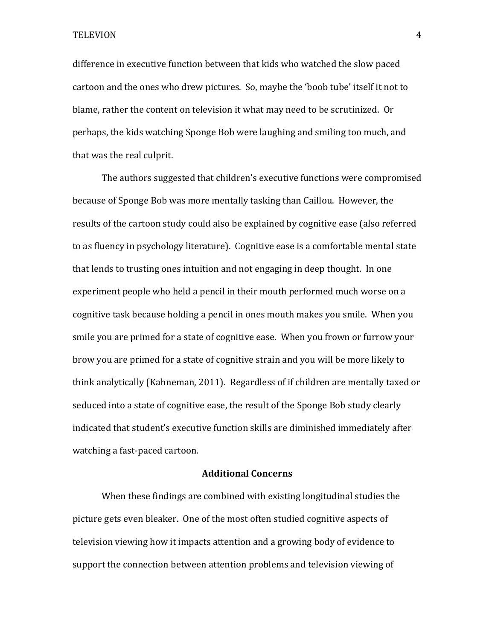TELEVION 4

difference in executive function between that kids who watched the slow paced cartoon and the ones who drew pictures. So, maybe the 'boob tube' itself it not to blame, rather the content on television it what may need to be scrutinized. Or perhaps, the kids watching Sponge Bob were laughing and smiling too much, and that was the real culprit.

The authors suggested that children's executive functions were compromised because of Sponge Bob was more mentally tasking than Caillou. However, the results of the cartoon study could also be explained by cognitive ease (also referred to as fluency in psychology literature). Cognitive ease is a comfortable mental state that lends to trusting ones intuition and not engaging in deep thought. In one experiment people who held a pencil in their mouth performed much worse on a cognitive task because holding a pencil in ones mouth makes you smile. When you smile you are primed for a state of cognitive ease. When you frown or furrow your brow you are primed for a state of cognitive strain and you will be more likely to think analytically (Kahneman, 2011). Regardless of if children are mentally taxed or seduced into a state of cognitive ease, the result of the Sponge Bob study clearly indicated that student's executive function skills are diminished immediately after watching a fast-paced cartoon.

### **Additional Concerns**

When these findings are combined with existing longitudinal studies the picture gets even bleaker. One of the most often studied cognitive aspects of television viewing how it impacts attention and a growing body of evidence to support the connection between attention problems and television viewing of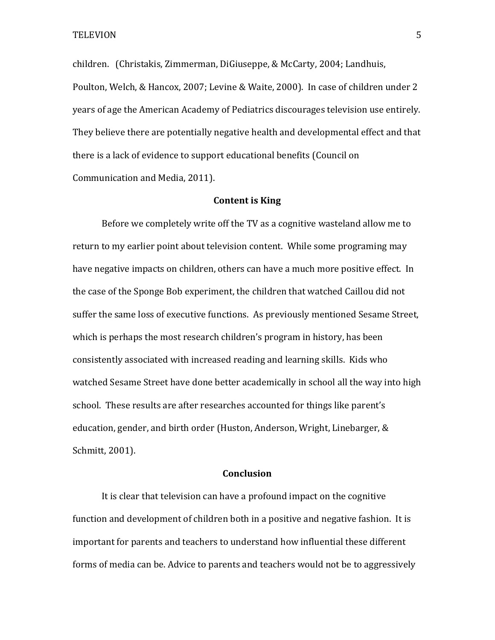children. (Christakis, Zimmerman, DiGiuseppe, & McCarty, 2004; Landhuis, Poulton, Welch, & Hancox, 2007; Levine & Waite, 2000). In case of children under 2 years of age the American Academy of Pediatrics discourages television use entirely. They believe there are potentially negative health and developmental effect and that there is a lack of evidence to support educational benefits (Council on Communication and Media, 2011).

### **Content is King**

Before we completely write off the TV as a cognitive wasteland allow me to return to my earlier point about television content. While some programing may have negative impacts on children, others can have a much more positive effect. In the case of the Sponge Bob experiment, the children that watched Caillou did not suffer the same loss of executive functions. As previously mentioned Sesame Street, which is perhaps the most research children's program in history, has been consistently associated with increased reading and learning skills. Kids who watched Sesame Street have done better academically in school all the way into high school. These results are after researches accounted for things like parent's education, gender, and birth order (Huston, Anderson, Wright, Linebarger, & Schmitt, 2001).

### **Conclusion**

It is clear that television can have a profound impact on the cognitive function and development of children both in a positive and negative fashion. It is important for parents and teachers to understand how influential these different forms of media can be. Advice to parents and teachers would not be to aggressively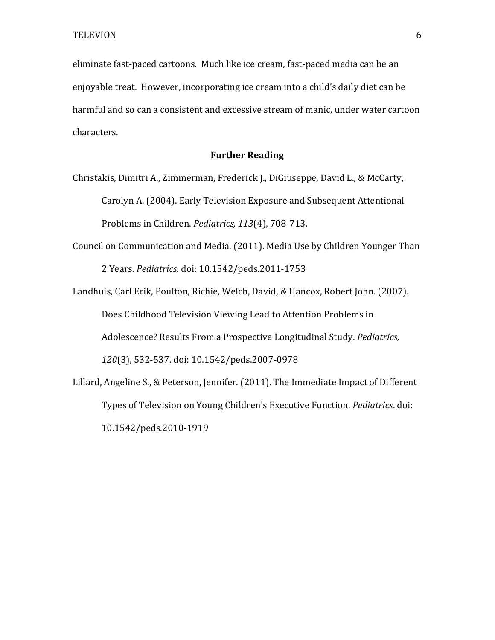eliminate fast-paced cartoons. Much like ice cream, fast-paced media can be an enjoyable treat. However, incorporating ice cream into a child's daily diet can be harmful and so can a consistent and excessive stream of manic, under water cartoon characters. 

## **Further Reading**

Christakis, Dimitri A., Zimmerman, Frederick J., DiGiuseppe, David L., & McCarty, Carolyn A. (2004). Early Television Exposure and Subsequent Attentional Problems in Children. *Pediatrics, 113*(4), 708-713.

Council on Communication and Media. (2011). Media Use by Children Younger Than 2 Years. *Pediatrics*. doi: 10.1542/peds.2011-1753

Landhuis, Carl Erik, Poulton, Richie, Welch, David, & Hancox, Robert John. (2007). Does Childhood Television Viewing Lead to Attention Problems in Adolescence? Results From a Prospective Longitudinal Study. *Pediatrics*, 120(3), 532-537. doi: 10.1542/peds.2007-0978 Lillard, Angeline S., & Peterson, Jennifer. (2011). The Immediate Impact of Different

Types of Television on Young Children's Executive Function. *Pediatrics*. doi: 10.1542/peds.2010-1919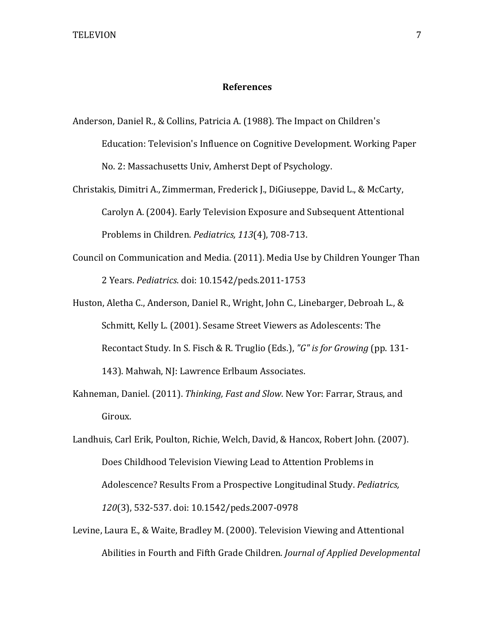### **References**

- Anderson, Daniel R., & Collins, Patricia A. (1988). The Impact on Children's Education: Television's Influence on Cognitive Development. Working Paper No. 2: Massachusetts Univ, Amherst Dept of Psychology.
- Christakis, Dimitri A., Zimmerman, Frederick J., DiGiuseppe, David L., & McCarty, Carolyn A. (2004). Early Television Exposure and Subsequent Attentional Problems in Children. *Pediatrics*, 113(4), 708-713.
- Council on Communication and Media. (2011). Media Use by Children Younger Than 2 Years. *Pediatrics*. doi: 10.1542/peds.2011-1753
- Huston, Aletha C., Anderson, Daniel R., Wright, John C., Linebarger, Debroah L., & Schmitt, Kelly L. (2001). Sesame Street Viewers as Adolescents: The Recontact Study. In S. Fisch & R. Truglio (Eds.), "G" is for Growing (pp. 131-143). Mahwah, NJ: Lawrence Erlbaum Associates.
- Kahneman, Daniel. (2011). *Thinking, Fast and Slow*. New Yor: Farrar, Straus, and Giroux.
- Landhuis, Carl Erik, Poulton, Richie, Welch, David, & Hancox, Robert John. (2007). Does Childhood Television Viewing Lead to Attention Problems in Adolescence? Results From a Prospective Longitudinal Study. *Pediatrics,*  120(3), 532-537. doi: 10.1542/peds.2007-0978
- Levine, Laura E., & Waite, Bradley M. (2000). Television Viewing and Attentional Abilities in Fourth and Fifth Grade Children. *Journal of Applied Developmental*